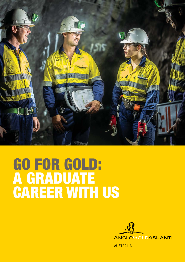

# GO FOR GOLD: A GRADUATE CAREER WITH US

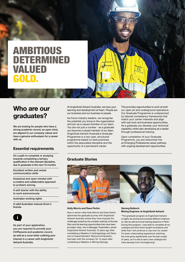## AMBITIOUS DETERMINED VALUED GOLD.

### Who are our graduates?

We are looking for people who have a strong academic record, an open mind, are aligned to our company values and have a genuine enthusiasm for a career with us.

#### Essential requirements

On a path to complete or studying towards completing a tertiary qualification in the relevant discipline, due to graduate in the next 12 months

Excellent written and verbal communication skills

Analytical and open minded with a creative and collaborative approach to problem solving

A self-starter with the ability to work autonomously

Australian working rights

A valid Australian manual driver's license



As part of your application, you are required to provide your CV/Resume and academic record, as well as a cover letter outlining your interest in a career with AngloGold Ashanti Australia.

At AngloGold Ashanti Australia, we have your learning and development at heart. People are our business and our business is people.

As future industry leaders, we recognise the potential you bring to the organisation and join as a valued member of our team. You are not just a number - as a graduate you become a valued member of our team. AngloGold Ashanti Australia's Graduate Programme is a two-year, structured programme based on best practices within the associated discipline and the opportunity of a permanent career.

This provides opportunities to work at both our open pit and underground operations. Our Graduate Programme is underpinned by tailored competency frameworks that match your career interests and align with real work and business opportunities. As a graduate you develop your technical capability whilst also developing as a leader through professional training.

Upon completion of your Graduate Programme, you are welcomed into an Emerging Professional career pathway with ongoing development opportunities.

#### Graduate Stories



#### Holly Morris and Dave Perkin

Now in senior roles Holly Morris and Dave Perkin epitomise the graduate journey with AngloGold Ashanti Australia where they have enjoyed the challenges posed by the complex orebody at Sunrise Dam and the learning opportunities they have been provided. Holly, who is Manager: Exploration, joined AngloGold Ashanti Australia 13 years ago after completing a Masters in Hydrogeology and Dave, who is Superintendent: Resource Evaluation, has been with the company for 14 years after completing a Masters in Mining Geology.

#### Garang Bulkoch Mining Engineer at AngloGold Ashanti

"The graduate program at AngloGold Ashanti is highly structured and involved different rotations on-site as well as formal training sessions in Perth. During this program, I was able to complete all my underground time which taught me lessons and skills that I will continue to use over my career. It's been a fascinating experience watching the mine grow significantly over the last couple of years, as it's rare to see a new underground mine develop from the beginning".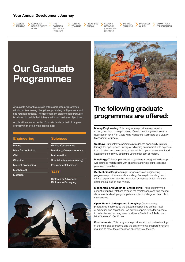#### Your Annual Development Journey



ESTABLISH DEVELOPMENT PLAN

FIRST ROTATION LEARNING)



FORMAL **TRAINING** 



CHECK

FORMAL

TRAINING PROGRESS CHECK

END OF YEAR **PRESENTATION** 

## Our Graduate Programmes

AngloGold Ashanti Australia offers graduate programmes within our key mining disciplines, providing multiple work and site rotation options. The development plan of each graduate is tailored to match their interest with our business objectives.

Applications are accepted from students in their final year of study in the following disciplines:

#### **Engineering**

#### **Sciences**

| Mining                    |  |
|---------------------------|--|
| <b>Mine Geotechnical</b>  |  |
| Civil                     |  |
| Chemical                  |  |
| <b>Mineral Processing</b> |  |
| Mechanical                |  |
| <b>Electrical</b>         |  |

Geology/geoscience Metallurgy/mineral science **Mathematics** Special science (surveying) Environmental science

#### TAFE

Diploma or Advanced Diploma in Surveying





### The following graduate programmes are offered:

**Mining Engineering:** This programme provides exposure to underground and open pit mining. Development is geared towards qualification for a First Class Mine Manager's Certificate or a Quarry Manager's Certificate.

**Geology:** Our geology programme provides the opportunity to rotate through the open pit and underground mining environment with exposure to exploration and mine geology. We will build your development and experience to help you determine your career path of interest.

**Metallurgy:** This comprehensive programme is designed to develop well-rounded metallurgists with an understanding of our processing plants and operations.

Geotechnical Engineering: Our geotechnical engineering programme provides an understanding of open pit or underground mining, exploration and the geological processes which influence geotechnical design and mining.

Mechanical and Electrical Engineering: These programmes consist of multiple rotations through the maintenance and engineering departments, developing competence in both underground and plant maintenance.

**Open Pit and Underground Surveying: Our surveying** programme is tailored to the graduate depending on their level of education and aspirations. We provide opportunities for exposure to both sites and working towards either a Grade 1 or 2 Authorised Mine Surveyor's Certificate.

**Environmental:** This programme provides a broad understanding of the mine site operations and the environmental support functions required to meet the compliance obligations of the site.